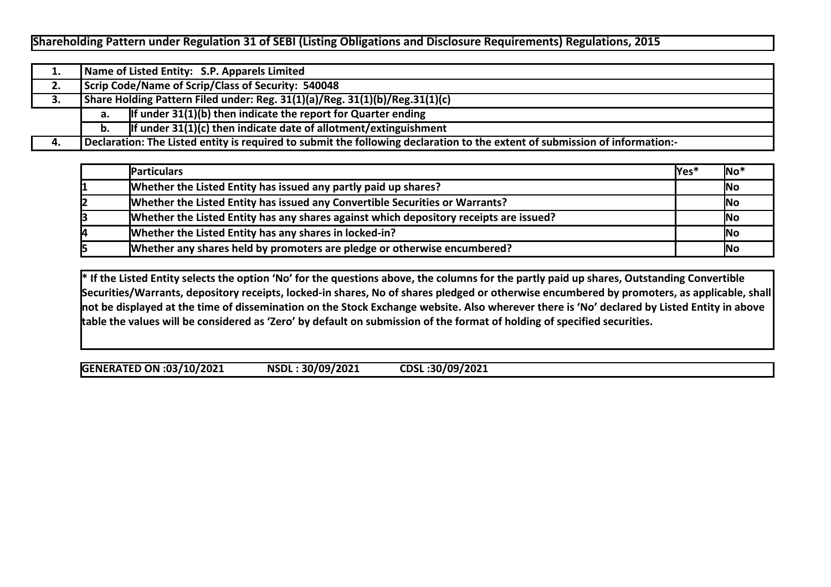## **Shareholding Pattern under Regulation 31 of SEBI (Listing Obligations and Disclosure Requirements) Regulations, 2015**

| 1. |    | Name of Listed Entity: S.P. Apparels Limited                                                                                |  |  |  |  |  |  |  |  |  |  |  |
|----|----|-----------------------------------------------------------------------------------------------------------------------------|--|--|--|--|--|--|--|--|--|--|--|
| 2. |    | Scrip Code/Name of Scrip/Class of Security: 540048                                                                          |  |  |  |  |  |  |  |  |  |  |  |
| 3. |    | Share Holding Pattern Filed under: Reg. 31(1)(a)/Reg. 31(1)(b)/Reg.31(1)(c)                                                 |  |  |  |  |  |  |  |  |  |  |  |
|    | а. | If under $31(1)(b)$ then indicate the report for Quarter ending                                                             |  |  |  |  |  |  |  |  |  |  |  |
|    | b. | If under $31(1)(c)$ then indicate date of allotment/extinguishment                                                          |  |  |  |  |  |  |  |  |  |  |  |
| 4. |    | Declaration: The Listed entity is required to submit the following declaration to the extent of submission of information:- |  |  |  |  |  |  |  |  |  |  |  |

| <b>Particulars</b>                                                                     | lYes* | $\overline{\mathsf{No}}^*$ |
|----------------------------------------------------------------------------------------|-------|----------------------------|
| Whether the Listed Entity has issued any partly paid up shares?                        |       | <b>No</b>                  |
| Whether the Listed Entity has issued any Convertible Securities or Warrants?           |       | <b>No</b>                  |
| Whether the Listed Entity has any shares against which depository receipts are issued? |       | <b>No</b>                  |
| Whether the Listed Entity has any shares in locked-in?                                 |       | <b>No</b>                  |
| Whether any shares held by promoters are pledge or otherwise encumbered?               |       | <b>No</b>                  |

**\* If the Listed Entity selects the option 'No' for the questions above, the columns for the partly paid up shares, Outstanding Convertible Securities/Warrants, depository receipts, locked-in shares, No of shares pledged or otherwise encumbered by promoters, as applicable, shall not be displayed at the time of dissemination on the Stock Exchange website. Also wherever there is 'No' declared by Listed Entity in above table the values will be considered as 'Zero' by default on submission of the format of holding of specified securities.**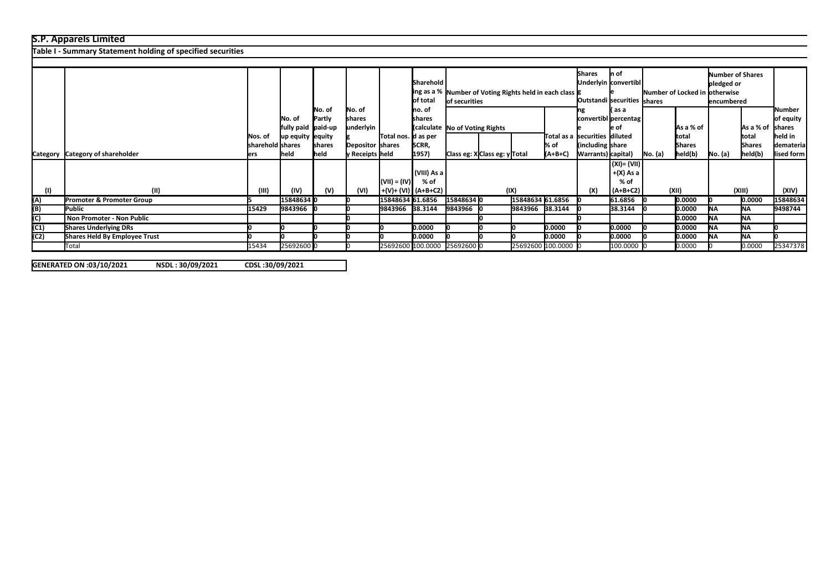## **S.P. Apparels Limited**

**Table I - Summary Statement holding of specified securities**

|      |                                  |                  |                    |        |                  |                      |                                |                              |  |                                                              |                   | <b>Shares</b>                   | In of                |                                |               | Number of Shares |                         |            |
|------|----------------------------------|------------------|--------------------|--------|------------------|----------------------|--------------------------------|------------------------------|--|--------------------------------------------------------------|-------------------|---------------------------------|----------------------|--------------------------------|---------------|------------------|-------------------------|------------|
|      |                                  |                  |                    |        |                  |                      | Sharehold                      |                              |  |                                                              |                   |                                 | Underlyin convertibl |                                |               | pledged or       |                         |            |
|      |                                  |                  |                    |        |                  |                      |                                |                              |  | ling as a %   Number of Voting Rights held in each class   g |                   |                                 |                      | Number of Locked in lotherwise |               |                  |                         |            |
|      |                                  |                  |                    |        |                  |                      | of total                       | lof securities               |  |                                                              |                   | Outstandi securities shares     |                      |                                | lencumbered   |                  |                         |            |
|      |                                  |                  |                    | No. of | No. of           |                      | Ino. of                        |                              |  |                                                              |                   | l( as a                         |                      |                                |               |                  | Number                  |            |
|      |                                  |                  | No. of             | Partly | shares           |                      | Ishares                        |                              |  |                                                              |                   | convertibl percentag            |                      |                                |               |                  | of equity               |            |
|      |                                  |                  | fully paid paid-up |        | underlyin        |                      | (calculate No of Voting Rights |                              |  |                                                              |                   |                                 | le of                |                                | As a % of     |                  | As a % of shares        |            |
|      |                                  | Nos. of          | up equity lequity  |        |                  | Total nos.  d as per |                                |                              |  |                                                              |                   | Total as a ssecurities diiluted |                      |                                | ltotal        |                  | Itotal                  | held in    |
|      |                                  | sharehold shares |                    | shares | Depositor shares |                      | SCRR,                          |                              |  |                                                              | % of              | (including share)               |                      |                                | <b>Shares</b> |                  | <b>Shares</b>           | demateria  |
|      | Category Category of shareholder | lers             | <b>held</b>        | held   | y Receipts held  |                      | 1957)                          | Class eg: XClass eg: y Total |  |                                                              | $(A+B+C)$         | Warrants) capital)              |                      | No. (a)                        | held(b)       | No. (a)          | $\vert$ held $\vert$ b) | lised form |
|      |                                  |                  |                    |        |                  |                      |                                |                              |  |                                                              |                   |                                 |                      |                                |               |                  |                         |            |
|      |                                  |                  |                    |        |                  |                      | (VIII) As a                    |                              |  |                                                              |                   |                                 | $+(X)$ As a          |                                |               |                  |                         |            |
|      |                                  |                  |                    |        |                  |                      | % of                           |                              |  |                                                              |                   |                                 | $%$ of               |                                |               |                  |                         |            |
|      |                                  |                  |                    |        |                  | $(VII) = (IV)$       |                                |                              |  |                                                              |                   |                                 |                      |                                |               |                  |                         |            |
| (1)  | (11)                             | (III)            | (IV)               | (V)    | (VI)             |                      |                                |                              |  | (IX)                                                         |                   | (X)                             | (A+B+C2)             |                                | (XII)         |                  | (XIII)                  | (XIV)      |
| (A)  | Promoter & Promoter Group        |                  | 15848634 0         |        |                  | 15848634 61.6856     |                                | 158486340                    |  | 15848634 61.6856                                             |                   |                                 | 61.6856              |                                | 0.0000        |                  | 0.0000                  | 15848634   |
| (B)  | Public                           | 15429            | 9843966 0          |        |                  | 9843966 38.3144      |                                | 9843966 C                    |  | 9843966 38.3144                                              |                   |                                 | 38.3144              |                                | 0.0000        | <b>INA</b>       | <b>INA</b>              | 9498744    |
| (C)  | Non Promoter - Non Public        |                  |                    |        |                  |                      |                                |                              |  |                                                              |                   |                                 |                      |                                | 0.0000        | <b>INA</b>       | <b>INA</b>              |            |
| (C1) | <b>Shares Underlying DRs</b>     |                  |                    |        |                  |                      | 0.0000                         |                              |  |                                                              | 0.0000            |                                 | 0.0000               |                                | 0.0000        | Ina.             | <b>INA</b>              |            |
| (C2) | Shares Held By Employee Trust    |                  |                    |        |                  |                      | 0.0000                         |                              |  |                                                              | 0.0000            |                                 | 0.0000               |                                | 0.0000        | <b>INA</b>       | <b>NA</b>               |            |
|      | Total                            | 15434            | 25692600 0         |        |                  |                      | 25692600 100.0000 25692600 0   |                              |  |                                                              | 25692600 100.0000 |                                 | 100.0000             |                                | 0.0000        |                  | 0.0000                  | 25347378   |

**% assuming full**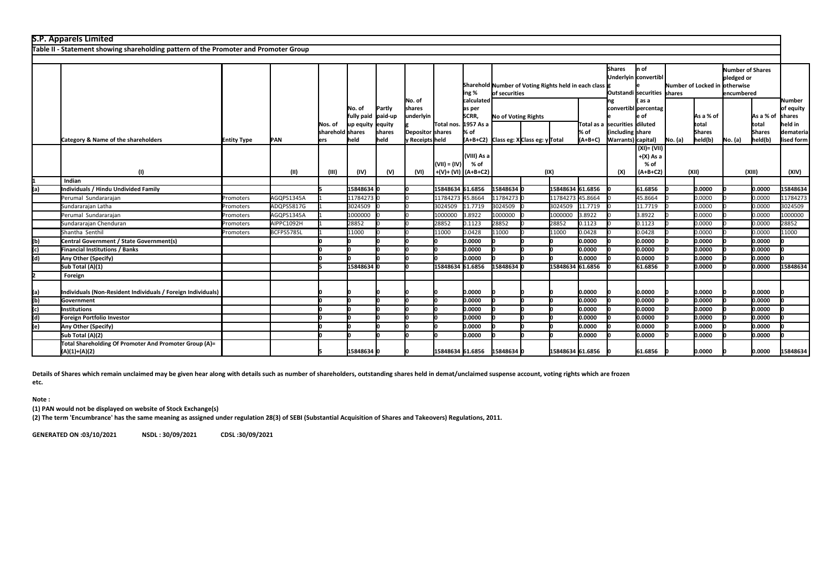|     | <b>S.P. Apparels Limited</b>                                                         |                    |             |                  |                                                   |                |                                     |                  |                                                                                |                     |                                      |                  |                   |                                         |                                                       |         |                          |         |                                                             |                                          |                               |                                               |  |  |
|-----|--------------------------------------------------------------------------------------|--------------------|-------------|------------------|---------------------------------------------------|----------------|-------------------------------------|------------------|--------------------------------------------------------------------------------|---------------------|--------------------------------------|------------------|-------------------|-----------------------------------------|-------------------------------------------------------|---------|--------------------------|---------|-------------------------------------------------------------|------------------------------------------|-------------------------------|-----------------------------------------------|--|--|
|     | Table II - Statement showing shareholding pattern of the Promoter and Promoter Group |                    |             |                  |                                                   |                |                                     |                  |                                                                                |                     |                                      |                  |                   |                                         |                                                       |         |                          |         |                                                             |                                          |                               |                                               |  |  |
|     |                                                                                      |                    |             |                  |                                                   |                |                                     |                  |                                                                                |                     |                                      |                  |                   |                                         |                                                       |         |                          |         |                                                             |                                          |                               |                                               |  |  |
|     |                                                                                      |                    |             |                  |                                                   |                |                                     |                  | Sharehold Number of Voting Rights held in each class<br>ing %<br>of securities |                     |                                      |                  |                   |                                         |                                                       |         |                          | Shares  | n of<br>Underlyin convertibl<br>Outstandi securities shares |                                          | Number of Locked in otherwise | Number of Shares<br>pledged or<br>lencumbered |  |  |
|     |                                                                                      |                    |             | INos. of         | INo. of<br>fully paid paid-up<br>up equity equity | Partly         | No. of<br>Ishares<br>underlyin      | Total nos.       | calculated<br>as per<br>SCRR,<br>1957 As a                                     | No of Voting Rights |                                      |                  |                   | Total as a ssecurities diiluted         | as a<br>convertibl percentag<br>e of                  |         | As a % of<br>total       |         | As a % of<br>total                                          | Number<br>of equity<br>shares<br>held in |                               |                                               |  |  |
|     |                                                                                      |                    |             | sharehold shares | held                                              | shares<br>held | Depositor shares<br>y Receipts held |                  | % of                                                                           |                     |                                      |                  | % of<br>$(A+B+C)$ | lincluding Ishare<br>Warrants) capital) |                                                       |         | <b>Shares</b><br>held(b) | No. (a) | <b>Shares</b><br>held(b)                                    | demateria<br>lised form                  |                               |                                               |  |  |
|     | Category & Name of the shareholders<br>(1)                                           | <b>Entity Type</b> | PAN<br>(II) | ers<br>(III)     | (IV)                                              | (V)            | (VI)                                | $(VII) = (IV)$   | (VIII) As a<br>% of<br>+(V)+ (VI) (A+B+C2)                                     |                     | (A+B+C2) Class eg: XClass eg: yTotal | (IX)             |                   | (X)                                     | $(XI) = (VII)$<br>$+(X)$ As a<br>$%$ of<br>$(A+B+C2)$ | No. (a) | (XII)                    |         | (XIII)                                                      | (XIV)                                    |                               |                                               |  |  |
|     | Indian                                                                               |                    |             |                  |                                                   |                |                                     |                  |                                                                                |                     |                                      |                  |                   |                                         |                                                       |         |                          |         |                                                             |                                          |                               |                                               |  |  |
| (a) | Individuals / Hindu Undivided Family                                                 |                    |             |                  | 15848634 0                                        |                |                                     | 15848634         | 61.6856                                                                        | 15848634            |                                      | 15848634 61.6856 |                   |                                         | 61.6856                                               |         | 10.0000                  |         | 0.0000                                                      | 15848634                                 |                               |                                               |  |  |
|     | Perumal Sundararajan                                                                 | Promoters          | AGQPS1345A  |                  | 11784273 0                                        |                |                                     | 11784273         | 45.8664                                                                        | 11784273            |                                      | 11784273         | 45.8664           |                                         | 45.8664                                               |         | 0.0000                   |         | 0.0000                                                      | 11784273                                 |                               |                                               |  |  |
|     | Sundararajan Latha                                                                   | Promoters          | ADQPS5817G  |                  | 3024509                                           |                |                                     | 3024509          | 11.7719                                                                        | 3024509             |                                      | 3024509          | 11.7719           |                                         | 11.7719                                               |         | 0.0000                   |         | 0.0000                                                      | 3024509                                  |                               |                                               |  |  |
|     | Perumal Sundararajan                                                                 | Promoters          | AGQPS1345A  |                  | 1000000                                           |                |                                     | 1000000          | 3.8922                                                                         | 1000000             |                                      | 1000000          | 3.8922            |                                         | 3.8922                                                |         | 0.0000                   |         | 0.0000                                                      | 1000000                                  |                               |                                               |  |  |
|     | Sundararajan Chenduran                                                               | Promoters          | AIPPC1092H  |                  | 28852                                             |                |                                     | 28852            | 0.1123                                                                         | 28852               |                                      | 28852            | 0.1123            |                                         | 0.1123                                                |         | 0.0000                   |         | 0.0000                                                      | 28852                                    |                               |                                               |  |  |
|     | Shantha Senthil                                                                      | Promoters          | BCFPS5785L  |                  | 11000                                             |                |                                     | 11000            | 0.0428                                                                         | 11000               |                                      | 11000            | 0.0428            |                                         | 0.0428                                                |         | 0.0000                   |         | 0.0000                                                      | 11000                                    |                               |                                               |  |  |
| (b) | Central Government / State Government(s)                                             |                    |             |                  |                                                   |                |                                     |                  | 0.0000                                                                         |                     |                                      |                  | 0.0000            |                                         | 0.0000                                                |         | 10.0000                  |         | 0.0000                                                      |                                          |                               |                                               |  |  |
| (c) | Financial Institutions / Banks                                                       |                    |             |                  |                                                   |                |                                     |                  | 0.0000                                                                         |                     |                                      |                  | lo.oooo           |                                         | 0.0000                                                |         | 10.0000                  |         | 0.0000                                                      |                                          |                               |                                               |  |  |
| (d) | Any Other (Specify)                                                                  |                    |             |                  |                                                   |                |                                     |                  | 0.0000                                                                         |                     |                                      |                  | 0.0000            |                                         | 0.0000                                                |         | 0.0000                   |         | 0.0000                                                      |                                          |                               |                                               |  |  |
|     | Sub Total (A)(1)                                                                     |                    |             |                  | 15848634                                          |                |                                     | 15848634         | 61.6856                                                                        | 15848634            |                                      | 15848634 61.6856 |                   |                                         | 61.6856                                               |         | 10.0000                  |         | 0.0000                                                      | 15848634                                 |                               |                                               |  |  |
|     | Foreign                                                                              |                    |             |                  |                                                   |                |                                     |                  |                                                                                |                     |                                      |                  |                   |                                         |                                                       |         |                          |         |                                                             |                                          |                               |                                               |  |  |
| (a) | Individuals (Non-Resident Individuals / Foreign Individuals)                         |                    |             |                  |                                                   |                |                                     |                  | 0.0000                                                                         |                     |                                      |                  | 0.0000            |                                         | 0.0000                                                |         | 0.0000                   |         | 0.0000                                                      |                                          |                               |                                               |  |  |
| (b) | Government                                                                           |                    |             |                  |                                                   |                |                                     |                  | 0.0000                                                                         |                     |                                      |                  | 0.0000            |                                         | 0.0000                                                |         | 0.0000                   |         | 0.0000                                                      |                                          |                               |                                               |  |  |
| (c) | Institutions                                                                         |                    |             |                  |                                                   |                |                                     |                  | 0.0000                                                                         |                     |                                      |                  | 0.0000            |                                         | 0.0000                                                |         | 0.0000                   |         | 0.0000                                                      |                                          |                               |                                               |  |  |
| (d) | Foreign Portfolio Investor                                                           |                    |             |                  |                                                   |                |                                     |                  | 0.0000                                                                         |                     |                                      |                  | 0.0000            |                                         | 0.0000                                                |         | 10.0000                  |         | 0.0000                                                      |                                          |                               |                                               |  |  |
| (e) | Any Other (Specify)                                                                  |                    |             |                  |                                                   |                |                                     |                  | 10.0000                                                                        |                     |                                      |                  | lo.oooo           |                                         | 0.0000                                                |         | 10.0000                  |         | 0.0000                                                      |                                          |                               |                                               |  |  |
|     | Sub Total (A)(2)                                                                     |                    |             |                  |                                                   |                |                                     |                  | 0.0000                                                                         |                     |                                      |                  | 0.0000            |                                         | 0.0000                                                |         | 10.0000                  |         | 0.0000                                                      |                                          |                               |                                               |  |  |
|     | Total Shareholding Of Promoter And Promoter Group (A)=<br>(A)(1)+(A)(2)              |                    |             |                  | 15848634 0                                        |                |                                     | 15848634 61.6856 |                                                                                | 15848634 0          |                                      | 15848634 61.6856 |                   |                                         | 61.6856                                               |         | 0.0000                   |         | 0.0000                                                      | 15848634                                 |                               |                                               |  |  |

**Details of Shares which remain unclaimed may be given hear along with details such as number of shareholders, outstanding shares held in demat/unclaimed suspense account, voting rights which are frozen** 

**etc.**

**Note :**

**(1) PAN would not be displayed on website of Stock Exchange(s)** 

**(2) The term 'Encumbrance' has the same meaning as assigned under regulation 28(3) of SEBI (Substantial Acquisition of Shares and Takeovers) Regulations, 2011.**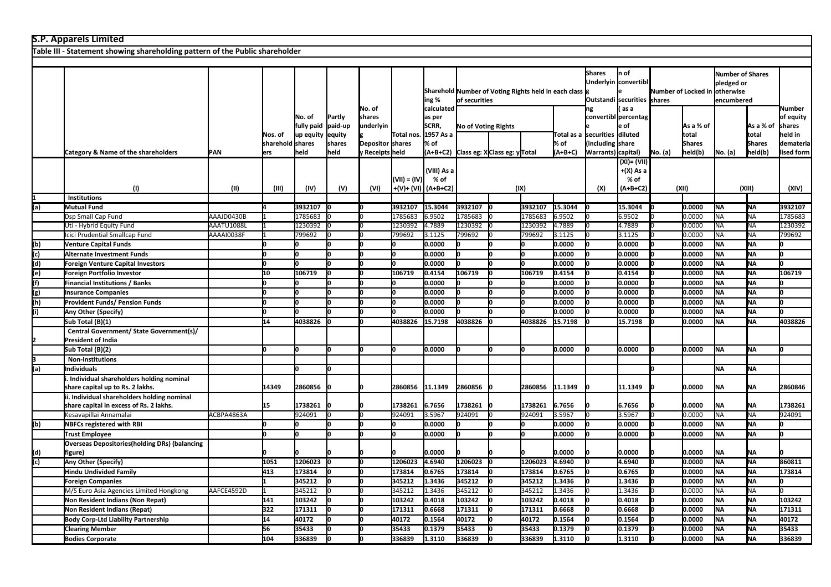|     | <b>S.P. Apparels Limited</b>                                                 |             |                         |                                    |                             |                                     |                |                                            |                                                                         |                                              |         |                                                                      |                                                              |                                                 |                               |                                                     |           |                          |                                          |
|-----|------------------------------------------------------------------------------|-------------|-------------------------|------------------------------------|-----------------------------|-------------------------------------|----------------|--------------------------------------------|-------------------------------------------------------------------------|----------------------------------------------|---------|----------------------------------------------------------------------|--------------------------------------------------------------|-------------------------------------------------|-------------------------------|-----------------------------------------------------|-----------|--------------------------|------------------------------------------|
|     | Table III - Statement showing shareholding pattern of the Public shareholder |             |                         |                                    |                             |                                     |                |                                            |                                                                         |                                              |         |                                                                      |                                                              |                                                 |                               |                                                     |           |                          |                                          |
|     |                                                                              |             |                         |                                    |                             |                                     |                |                                            |                                                                         |                                              |         |                                                                      |                                                              |                                                 |                               |                                                     |           |                          |                                          |
|     |                                                                              |             |                         |                                    |                             |                                     |                | ing %                                      | Sharehold Number of Voting Rights held in each class g<br>of securities |                                              |         | <b>Shares</b><br>Underlyin convertibl<br>Outstandi securities shares | n of                                                         |                                                 | Number of Locked in otherwise | <b>Number of Shares</b><br>pledged or<br>encumbered |           |                          |                                          |
|     |                                                                              |             | Nos. of                 | No. of<br>fully paid<br>lup equity | Partly<br>paid-up<br>equity | No. of<br>shares<br>underlyin       | Total nos.     | calculated<br>as per<br>SCRR,<br>1957 As a |                                                                         | <b>No of Voting Rights</b>                   |         |                                                                      | ng<br>convertibl percentag<br>Total as a ssecurities diluted | as a<br>: of                                    |                               | As a % of<br>total                                  |           | As a % of<br>total       | Number<br>of equity<br>shares<br>held in |
|     | Category & Name of the shareholders                                          | <b>IPAN</b> | sharehold shares<br>ers | lheid                              | shares<br>held              | Depositor shares<br>v Receipts held |                | % of                                       |                                                                         |                                              |         | % of<br>$(A+B+C)$                                                    | including<br>Warrants) capital)                              | share                                           | No. (a)                       | <b>Shares</b><br>held(b)                            | No. (a)   | <b>Shares</b><br>held(b) | demateria<br>lised form                  |
|     | (1)                                                                          | (II)        | (III)                   | (IV)                               | (V)                         | (VI)                                | $(VII) = (IV)$ | (VIII) As a<br>% of<br>+(V)+ (VI) (A+B+C2) |                                                                         | (A+B+C2) Class eg: XClass eg: yTotal<br>(IX) |         |                                                                      | (X)                                                          | (XI) = (VII)<br>+(X) As a<br>% of<br>$(A+B+C2)$ |                               | (XII)                                               |           | (XIII)                   | (XIV)                                    |
|     | <b>Institutions</b>                                                          |             |                         |                                    |                             |                                     |                |                                            |                                                                         |                                              |         |                                                                      |                                                              |                                                 |                               |                                                     |           |                          |                                          |
| (a) | <b>Mutual Fund</b>                                                           |             |                         | 3932107                            |                             |                                     | 3932107        | 15.3044                                    | 3932107                                                                 |                                              | 3932107 | 15.3044                                                              |                                                              | 15.3044                                         |                               | 0.0000                                              | <b>NA</b> | <b>NA</b>                | 3932107                                  |
|     | Dsp Small Cap Fund                                                           | AAAJD0430B  |                         | 1785683                            |                             |                                     | 1785683        | 6.9502                                     | 1785683                                                                 |                                              | 1785683 | 6.9502                                                               |                                                              | 6.9502                                          |                               | 0.0000                                              | <b>NA</b> | <b>NA</b>                | 1785683                                  |
|     | Uti - Hybrid Equity Fund                                                     | AAATU1088L  |                         | 1230392                            |                             |                                     | 1230392        | 4.7889                                     | 1230392                                                                 |                                              | 1230392 | 4.7889                                                               |                                                              | 4.7889                                          |                               | 0.0000                                              | <b>NA</b> | <b>NA</b>                | 1230392                                  |
|     | Icici Prudential Smallcap Fund                                               | AAAAI0038F  |                         | 799692                             |                             |                                     | 799692         | 3.1125                                     | 799692                                                                  |                                              | 799692  | 3.1125                                                               |                                                              | 3.1125                                          |                               | 0.0000                                              | <b>NA</b> | <b>NA</b>                | 799692                                   |
| (b) | <b>Venture Capital Funds</b>                                                 |             |                         |                                    |                             |                                     |                | 0.0000                                     |                                                                         |                                              |         | 0.0000                                                               |                                                              | 0.0000                                          |                               | 0.0000                                              | <b>NA</b> | <b>NA</b>                |                                          |
| (c) | Alternate Investment Funds                                                   |             | n                       | ln.                                |                             |                                     |                | 0.0000                                     | n                                                                       |                                              |         | 0.0000                                                               |                                                              | 0.0000                                          |                               | 0.0000                                              | <b>NA</b> | NA                       | n                                        |
| (d) | Foreign Venture Capital Investors                                            |             | 0                       | Iо                                 |                             |                                     |                | 0.0000                                     |                                                                         | In                                           |         | 0.0000                                                               |                                                              | 0.0000                                          |                               | 0.0000                                              | <b>NA</b> | <b>NA</b>                | n                                        |
| (e) | Foreign Portfolio Investor                                                   |             | 10                      | 106719                             |                             |                                     | 106719         | 0.4154                                     | 106719                                                                  | lо                                           | 106719  | 0.4154                                                               |                                                              | 0.4154                                          |                               | 0.0000                                              | <b>NA</b> | <b>NA</b>                | 106719                                   |
| (f) | <b>Financial Institutions / Banks</b>                                        |             |                         |                                    |                             |                                     |                | 0.0000                                     |                                                                         |                                              |         | 0.0000                                                               |                                                              | 0.0000                                          |                               | 0.0000                                              | <b>NA</b> | <b>NA</b>                |                                          |
| (g) | <b>Insurance Companies</b>                                                   |             |                         |                                    |                             |                                     |                | 0.0000                                     |                                                                         |                                              |         | 0.0000                                                               |                                                              | 0.0000                                          |                               | 0.0000                                              | NA        | <b>NA</b>                |                                          |
| (h) | <b>Provident Funds/ Pension Funds</b>                                        |             | n                       | lo.                                |                             |                                     |                | 0.0000                                     |                                                                         |                                              |         | 0.0000                                                               |                                                              | 0.0000                                          |                               | 0.0000                                              | <b>NA</b> | <b>NA</b>                | n                                        |
| (i) | Any Other (Specify)                                                          |             | n                       |                                    |                             |                                     |                | 0.0000                                     |                                                                         |                                              |         | 0.0000                                                               |                                                              | 0.0000                                          |                               | 0.0000                                              | <b>NA</b> | <b>NA</b>                | n                                        |
|     | Sub Total (B)(1)                                                             |             | 14                      | 4038826                            |                             |                                     | 4038826        | 15.7198                                    | 4038826                                                                 |                                              | 4038826 | 15.7198                                                              |                                                              | 15.7198                                         |                               | 0.0000                                              | <b>NA</b> | lna.                     | 4038826                                  |
|     | Central Government/ State Government(s)/                                     |             |                         |                                    |                             |                                     |                |                                            |                                                                         |                                              |         |                                                                      |                                                              |                                                 |                               |                                                     |           |                          |                                          |
|     | <b>President of India</b>                                                    |             |                         |                                    |                             |                                     |                |                                            |                                                                         |                                              |         |                                                                      |                                                              |                                                 |                               |                                                     |           |                          |                                          |
|     | Sub Total (B)(2)                                                             |             |                         |                                    |                             |                                     |                | 0.0000                                     |                                                                         |                                              |         | 0.0000                                                               |                                                              | 0.0000                                          |                               | 0.0000                                              | <b>NA</b> | lna.                     |                                          |
|     | <b>Non-Institutions</b>                                                      |             |                         |                                    |                             |                                     |                |                                            |                                                                         |                                              |         |                                                                      |                                                              |                                                 |                               |                                                     |           |                          |                                          |
| (a) | <b>Individuals</b>                                                           |             |                         | lo.                                |                             |                                     |                |                                            |                                                                         |                                              |         |                                                                      |                                                              |                                                 | lo                            |                                                     | <b>NA</b> | NA                       |                                          |
|     | Individual shareholders holding nominal<br>share capital up to Rs. 2 lakhs.  |             | 14349                   | 2860856                            |                             |                                     | 2860856        | 11.1349                                    | 2860856                                                                 |                                              | 2860856 | 11.1349                                                              |                                                              | 11.1349                                         |                               | 0.0000                                              | <b>NA</b> | NA                       | 2860846                                  |
|     | ii. Individual shareholders holding nominal                                  |             |                         |                                    |                             |                                     |                |                                            |                                                                         |                                              |         |                                                                      |                                                              |                                                 |                               |                                                     |           |                          |                                          |
|     | share capital in excess of Rs. 2 lakhs.                                      |             | 15                      | 1738261                            |                             |                                     | 1738261        | 6.7656                                     | 1738261                                                                 |                                              | 1738261 | 6.7656                                                               |                                                              | 6.7656                                          |                               | 0.0000                                              | <b>NA</b> | <b>NA</b>                | 1738261                                  |
|     | Kesavapillai Annamalai                                                       | ACBPA4863A  |                         | 924091                             |                             |                                     | 924091         | 3.5967                                     | 924091                                                                  |                                              | 924091  | 3.5967                                                               |                                                              | 3.5967                                          |                               | 0.0000                                              | <b>NA</b> | <b>NA</b>                | 924091                                   |
| (b) | <b>NBFCs registered with RBI</b>                                             |             | U                       |                                    |                             |                                     |                | 0.0000                                     |                                                                         |                                              |         | 0.0000                                                               |                                                              | 0.0000                                          |                               | 0.0000                                              | <b>NA</b> | <b>NA</b>                |                                          |
|     | <b>Trust Employee</b>                                                        |             |                         | lo.                                |                             |                                     |                | 0.0000                                     | n                                                                       |                                              |         | 0.0000                                                               |                                                              | 0.0000                                          |                               | 0.0000                                              | <b>NA</b> | lna.                     |                                          |
| (d) | <b>Overseas Depositories (holding DRs) (balancing</b><br>figure)             |             |                         |                                    |                             |                                     |                | 0.0000                                     |                                                                         |                                              |         | 0.0000                                                               |                                                              | 0.0000                                          |                               | 0.0000                                              | <b>NA</b> | NA                       |                                          |
| (c) | Any Other (Specify)                                                          |             | 1051                    | 1206023                            |                             |                                     | 1206023        | 4.6940                                     | 1206023                                                                 |                                              | 1206023 | 4.6940                                                               |                                                              | 4.6940                                          |                               | 0.0000                                              | <b>NA</b> | <b>NA</b>                | 860811                                   |
|     | Hindu Undivided Family                                                       |             | 413                     | 173814                             |                             |                                     | 173814         | 0.6765                                     | 173814                                                                  |                                              | 173814  | 0.6765                                                               |                                                              | 0.6765                                          |                               | 0.0000                                              | <b>NA</b> | <b>NA</b>                | 173814                                   |
|     | <b>Foreign Companies</b>                                                     |             |                         | 345212                             |                             |                                     | 345212         | 1.3436                                     | 345212                                                                  |                                              | 345212  | 1.3436                                                               |                                                              | 1.3436                                          |                               | 0.0000                                              | <b>NA</b> | <b>NA</b>                | n                                        |
|     | M/S Euro Asia Agencies Limited Hongkong                                      | AAFCE4592D  |                         | 345212                             |                             |                                     | 345212         | 1.3436                                     | 345212                                                                  |                                              | 345212  | 1.3436                                                               |                                                              | 1.3436                                          |                               | 0.0000                                              | <b>NA</b> | <b>NA</b>                |                                          |
|     | Non Resident Indians (Non Repat)                                             |             | 141                     | 103242                             |                             |                                     | 103242         | 0.4018                                     | 103242                                                                  |                                              | 103242  | 0.4018                                                               |                                                              | 0.4018                                          |                               | 0.0000                                              | <b>NA</b> | <b>NA</b>                | 103242                                   |
|     | Non Resident Indians (Repat)                                                 |             | 322                     | 171311                             |                             |                                     | 171311         | 0.6668                                     | 171311                                                                  |                                              | 171311  | 0.6668                                                               |                                                              | 0.6668                                          |                               | 0.0000                                              | <b>NA</b> | <b>NA</b>                | 171311                                   |
|     | <b>Body Corp-Ltd Liability Partnership</b>                                   |             | 14                      | 40172                              |                             |                                     | 40172          | 0.1564                                     | 40172                                                                   | In                                           | 40172   | 0.1564                                                               |                                                              | 0.1564                                          |                               | 0.0000                                              | <b>NA</b> | <b>NA</b>                | 40172                                    |
|     | <b>Clearing Member</b>                                                       |             | 56                      | 35433                              |                             |                                     | 35433          | 0.1379                                     | 35433                                                                   | In                                           | 35433   | 0.1379                                                               |                                                              | 0.1379                                          |                               | 0.0000                                              | <b>NA</b> | <b>NA</b>                | 35433                                    |
|     | <b>Bodies Corporate</b>                                                      |             | 104                     | 336839                             |                             |                                     | 336839         | 1.3110                                     | 336839                                                                  | lο                                           | 336839  | 1.3110                                                               |                                                              | 1.3110                                          |                               | 0.0000                                              | <b>NA</b> | <b>NA</b>                | 336839                                   |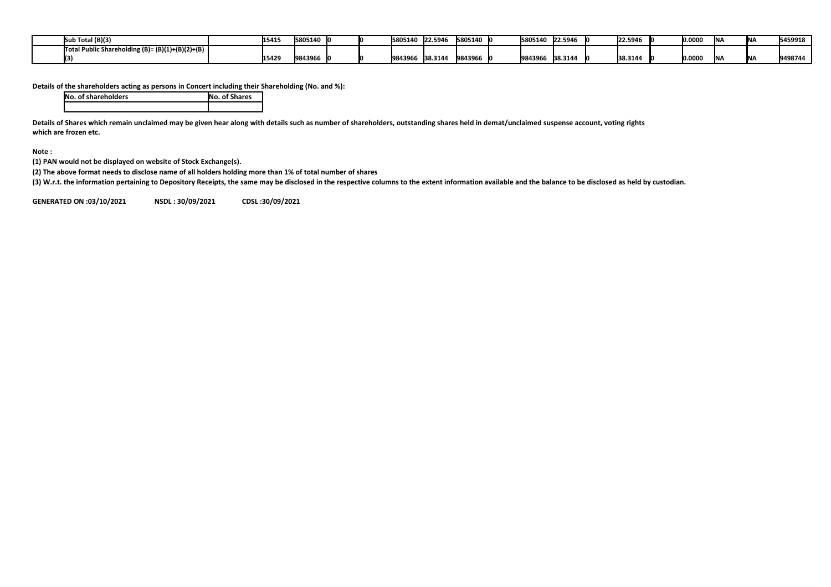| (B)(3) Total<br>ISut                             | 1541  | 5805140 |  | 5805140 22.5946 |         | 5805140 lo | 5805140 | 22.5946 | 22.5946 | 0.000f | INI A  | .<br>IN F       | 5459918 |
|--------------------------------------------------|-------|---------|--|-----------------|---------|------------|---------|---------|---------|--------|--------|-----------------|---------|
| Total Public Shareholding (B)= (B)(1)+(B)(2)+(B) |       |         |  |                 |         |            |         |         |         |        |        |                 |         |
|                                                  | 15429 | 9843966 |  | 9843966         | 38.3144 | 9843966    | 9843966 | 38.3144 | 38.3144 | 0.000f | IN I A | .<br><b>INA</b> | 9498744 |

**Details of the shareholders acting as persons in Concert including their Shareholding (No. and %):**

| <b>No. of shareholders</b> | <b>No. of Shares</b> |
|----------------------------|----------------------|
|                            |                      |

**Details of Shares which remain unclaimed may be given hear along with details such as number of shareholders, outstanding shares held in demat/unclaimed suspense account, voting rights which are frozen etc.**

**Note :**

**(1) PAN would not be displayed on website of Stock Exchange(s).** 

**(2) The above format needs to disclose name of all holders holding more than 1% of total number of shares**

**(3) W.r.t. the information pertaining to Depository Receipts, the same may be disclosed in the respective columns to the extent information available and the balance to be disclosed as held by custodian.**